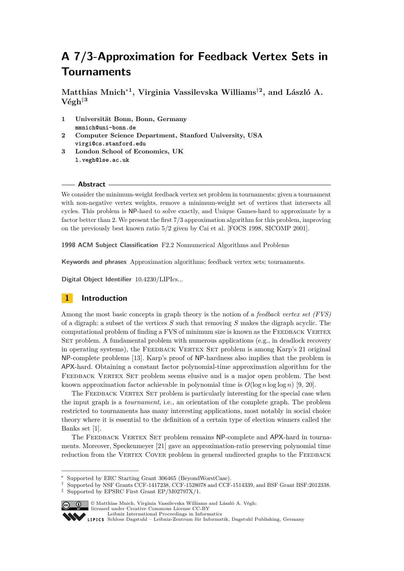# **A 7/3-Approximation for Feedback Vertex Sets in Tournaments**

**Matthias Mnich**<sup>∗</sup>**<sup>1</sup> , Virginia Vassilevska Williams**†**<sup>2</sup> , and László A.**  $V$ égh<sup>‡3</sup>

- **1 Universität Bonn, Bonn, Germany mmnich@uni-bonn.de**
- **2 Computer Science Department, Stanford University, USA virgi@cs.stanford.edu**
- **3 London School of Economics, UK l.vegh@lse.ac.uk**

## **Abstract**

We consider the minimum-weight feedback vertex set problem in tournaments: given a tournament with non-negative vertex weights, remove a minimum-weight set of vertices that intersects all cycles. This problem is NP-hard to solve exactly, and Unique Games-hard to approximate by a factor better than 2. We present the first 7*/*3 approximation algorithm for this problem, improving on the previously best known ratio 5*/*2 given by Cai et al. [FOCS 1998, SICOMP 2001].

**1998 ACM Subject Classification** F2.2 Nonnumerical Algorithms and Problems

**Keywords and phrases** Approximation algorithms; feedback vertex sets; tournaments.

**Digital Object Identifier** [10.4230/LIPIcs...](http://dx.doi.org/10.4230/LIPIcs...)

# **1 Introduction**

Among the most basic concepts in graph theory is the notion of a *feedback vertex set (FVS)* of a digraph: a subset of the vertices *S* such that removing *S* makes the digraph acyclic. The computational problem of finding a FVS of minimum size is known as the Feedback Vertex SET problem. A fundamental problem with numerous applications (e.g., in deadlock recovery in operating systems), the FEEDBACK VERTEX SET problem is among Karp's 21 original NP-complete problems [\[13\]](#page-12-0). Karp's proof of NP-hardness also implies that the problem is APX-hard. Obtaining a constant factor polynomial-time approximation algorithm for the FEEDBACK VERTEX SET problem seems elusive and is a major open problem. The best known approximation factor achievable in polynomial time is  $O(\log n \log \log n)$  [\[9,](#page-12-1) [20\]](#page-12-2).

The FEEDBACK VERTEX SET problem is particularly interesting for the special case when the input graph is a *tournament*, i.e., an orientation of the complete graph. The problem restricted to tournaments has many interesting applications, most notably in social choice theory where it is essential to the definition of a certain type of election winners called the Banks set [\[1\]](#page-12-3).

The FEEDBACK VERTEX SET problem remains NP-complete and APX-hard in tournaments. Moreover, Speckenmeyer [\[21\]](#page-12-4) gave an approximation-ratio preserving polynomial time reduction from the VERTEX COVER problem in general undirected graphs to the FEEDBACK

<sup>†</sup> Supported by NSF Grants CCF-1417238, CCF-1528078 and CCF-1514339, and BSF Grant BSF:2012338. ‡ Supported by EPSRC First Grant EP/M02797X/1.



 $\boxed{\text{c}}$   $\boxed{0}$   $\boxed{0}$  Matthias Mnich, Virginia Vassilevska Williams and László A. Végh;

licensed under Creative Commons License CC-BY [Leibniz International Proceedings in Informatics](http://www.dagstuhl.de/lipics/)

Supported by ERC Starting Grant 306465 (BeyondWorstCase).

[Schloss Dagstuhl – Leibniz-Zentrum für Informatik, Dagstuhl Publishing, Germany](http://www.dagstuhl.de)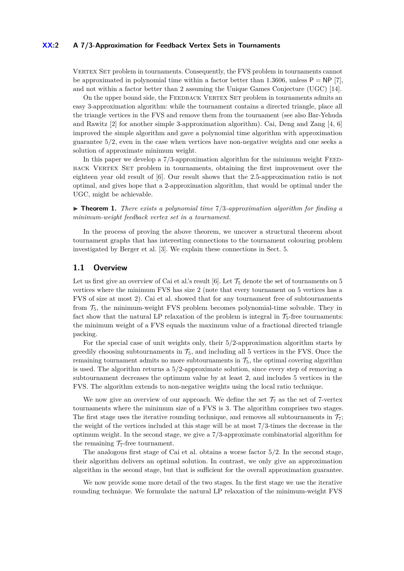## **XX:2 A 7/3-Approximation for Feedback Vertex Sets in Tournaments**

VERTEX SET problem in tournaments. Consequently, the FVS problem in tournaments cannot be approximated in polynomial time within a factor better than  $1.3606$ , unless  $P = NP [7]$  $P = NP [7]$ , and not within a factor better than 2 assuming the Unique Games Conjecture (UGC) [\[14\]](#page-12-6).

On the upper bound side, the FEEDBACK VERTEX SET problem in tournaments admits an easy 3-approximation algorithm: while the tournament contains a directed triangle, place all the triangle vertices in the FVS and remove them from the tournament (see also Bar-Yehuda and Rawitz [\[2\]](#page-12-7) for another simple 3-approximation algorithm). Cai, Deng and Zang [\[4,](#page-12-8) [6\]](#page-12-9) improved the simple algorithm and gave a polynomial time algorithm with approximation guarantee 5*/*2, even in the case when vertices have non-negative weights and one seeks a solution of approximate minimum weight.

In this paper we develop a 7/3-approximation algorithm for the minimum weight FEEDback Vertex Set problem in tournaments, obtaining the first improvement over the eighteen year old result of [\[6\]](#page-12-9). Our result shows that the 2.5-approximation ratio is not optimal, and gives hope that a 2-approximation algorithm, that would be optimal under the UGC, might be achievable.

<span id="page-1-0"></span>▶ **Theorem 1.** *There exists a polynomial time*  $7/3$ -*approximation algorithm for finding a minimum-weight feedback vertex set in a tournament.*

In the process of proving the above theorem, we uncover a structural theorem about tournament graphs that has interesting connections to the tournament colouring problem investigated by Berger et al. [\[3\]](#page-12-10). We explain these connections in Sect. [5.](#page-11-0)

## **1.1 Overview**

Let us first give an overview of Cai et al.'s result [\[6\]](#page-12-9). Let  $\mathcal{T}_5$  denote the set of tournaments on 5 vertices where the minimum FVS has size 2 (note that every tournament on 5 vertices has a FVS of size at most 2). Cai et al. showed that for any tournament free of subtournaments from  $\mathcal{T}_5$ , the minimum-weight FVS problem becomes polynomial-time solvable. They in fact show that the natural LP relaxation of the problem is integral in  $\mathcal{T}_5$ -free tournaments: the minimum weight of a FVS equals the maximum value of a fractional directed triangle packing.

For the special case of unit weights only, their 5*/*2-approximation algorithm starts by greedily choosing subtournaments in  $\mathcal{T}_5$ , and including all 5 vertices in the FVS. Once the remaining tournament admits no more subtournaments in  $\mathcal{T}_5$ , the optimal covering algorithm is used. The algorithm returns a 5*/*2-approximate solution, since every step of removing a subtournament decreases the optimum value by at least 2, and includes 5 vertices in the FVS. The algorithm extends to non-negative weights using the local ratio technique.

We now give an overview of our approach. We define the set  $\mathcal{T}_7$  as the set of 7-vertex tournaments where the minimum size of a FVS is 3. The algorithm comprises two stages. The first stage uses the iterative rounding technique, and removes all subtournaments in  $\mathcal{T}_7$ ; the weight of the vertices included at this stage will be at most 7*/*3-times the decrease in the optimum weight. In the second stage, we give a 7*/*3-approximate combinatorial algorithm for the remaining  $\mathcal{T}_7$ -free tournament.

The analogous first stage of Cai et al. obtains a worse factor 5*/*2. In the second stage, their algorithm delivers an optimal solution. In contrast, we only give an approximation algorithm in the second stage, but that is sufficient for the overall approximation guarantee.

We now provide some more detail of the two stages. In the first stage we use the iterative rounding technique. We formulate the natural LP relaxation of the minimum-weight FVS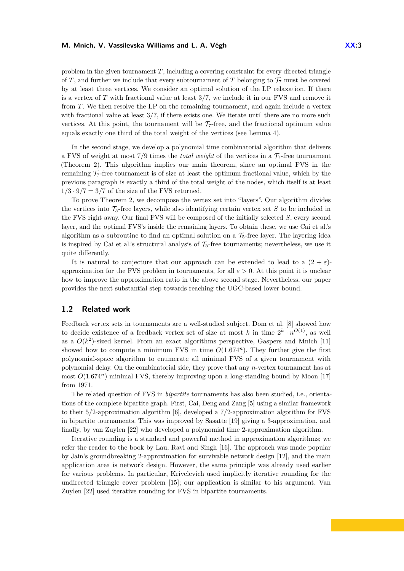problem in the given tournament *T*, including a covering constraint for every directed triangle of *T*, and further we include that every subtournament of *T* belonging to  $\mathcal{T}_7$  must be covered by at least three vertices. We consider an optimal solution of the LP relaxation. If there is a vertex of *T* with fractional value at least 3*/*7, we include it in our FVS and remove it from *T*. We then resolve the LP on the remaining tournament, and again include a vertex with fractional value at least  $3/7$ , if there exists one. We iterate until there are no more such vertices. At this point, the tournament will be  $\mathcal{T}_7$ -free, and the fractional optimum value equals exactly one third of the total weight of the vertices (see Lemma [4\)](#page-5-0).

In the second stage, we develop a polynomial time combinatorial algorithm that delivers a FVS of weight at most  $7/9$  times the *total weight* of the vertices in a  $7<sub>7</sub>$ -free tournament (Theorem [2\)](#page-5-1). This algorithm implies our main theorem, since an optimal FVS in the remaining  $\mathcal{T}_7$ -free tournament is of size at least the optimum fractional value, which by the previous paragraph is exactly a third of the total weight of the nodes, which itself is at least  $1/3 \cdot 9/7 = 3/7$  of the size of the FVS returned.

To prove Theorem [2,](#page-5-1) we decompose the vertex set into "layers". Our algorithm divides the vertices into  $\mathcal{T}_5$ -free layers, while also identifying certain vertex set *S* to be included in the FVS right away. Our final FVS will be composed of the initially selected *S*, every second layer, and the optimal FVS's inside the remaining layers. To obtain these, we use Cai et al.'s algorithm as a subroutine to find an optimal solution on a  $\mathcal{T}_5$ -free layer. The layering idea is inspired by Cai et al.'s structural analysis of  $\mathcal{T}_5$ -free tournaments; nevertheless, we use it quite differently.

It is natural to conjecture that our approach can be extended to lead to a  $(2 + \varepsilon)$ approximation for the FVS problem in tournaments, for all  $\varepsilon > 0$ . At this point it is unclear how to improve the approximation ratio in the above second stage. Nevertheless, our paper provides the next substantial step towards reaching the UGC-based lower bound.

# **1.2 Related work**

Feedback vertex sets in tournaments are a well-studied subject. Dom et al. [\[8\]](#page-12-11) showed how to decide existence of a feedback vertex set of size at most k in time  $2^k \cdot n^{O(1)}$ , as well as a  $O(k^2)$ -sized kernel. From an exact algorithms perspective, Gaspers and Mnich [\[11\]](#page-12-12) showed how to compute a minimum FVS in time  $O(1.674^n)$ . They further give the first polynomial-space algorithm to enumerate all minimal FVS of a given tournament with polynomial delay. On the combinatorial side, they prove that any *n*-vertex tournament has at most  $O(1.674^n)$  minimal FVS, thereby improving upon a long-standing bound by Moon [\[17\]](#page-12-13) from 1971.

The related question of FVS in *bipartite* tournaments has also been studied, i.e., orientations of the complete bipartite graph. First, Cai, Deng and Zang [\[5\]](#page-12-14) using a similar framework to their 5*/*2-approximation algorithm [\[6\]](#page-12-9), developed a 7*/*2-approximation algorithm for FVS in bipartite tournaments. This was improved by Sasatte [\[19\]](#page-12-15) giving a 3-approximation, and finally, by van Zuylen [\[22\]](#page-12-16) who developed a polynomial time 2-approximation algorithm.

Iterative rounding is a standard and powerful method in approximation algorithms; we refer the reader to the book by Lau, Ravi and Singh [\[16\]](#page-12-17). The approach was made popular by Jain's groundbreaking 2-approximation for survivable network design [\[12\]](#page-12-18), and the main application area is network design. However, the same principle was already used earlier for various problems. In particular, Krivelevich used implicitly iterative rounding for the undirected triangle cover problem [\[15\]](#page-12-19); our application is similar to his argument. Van Zuylen [\[22\]](#page-12-16) used iterative rounding for FVS in bipartite tournaments.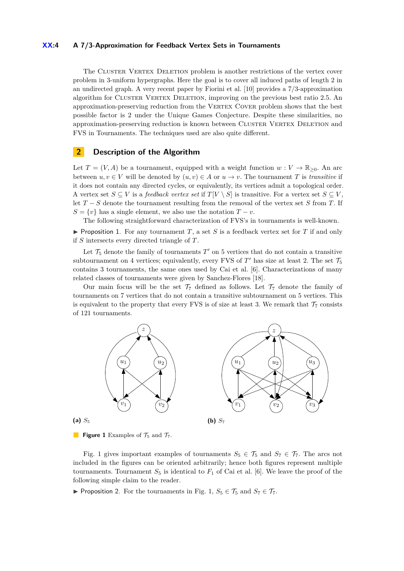#### **XX:4 A 7/3-Approximation for Feedback Vertex Sets in Tournaments**

The CLUSTER VERTEX DELETION problem is another restrictions of the vertex cover problem in 3-uniform hypergraphs. Here the goal is to cover all induced paths of length 2 in an undirected graph. A very recent paper by Fiorini et al. [\[10\]](#page-12-20) provides a 7/3-approximation algorithm for CLUSTER VERTEX DELETION, improving on the previous best ratio 2.5. An approximation-preserving reduction from the VERTEX COVER problem shows that the best possible factor is 2 under the Unique Games Conjecture. Despite these similarities, no approximation-preserving reduction is known between CLUSTER VERTEX DELETION and FVS in Tournaments. The techniques used are also quite different.

## **2 Description of the Algorithm**

Let  $T = (V, A)$  be a tournament, equipped with a weight function  $w : V \to \mathbb{R}_{\geq 0}$ . An arc between  $u, v \in V$  will be denoted by  $(u, v) \in A$  or  $u \to v$ . The tournament *T* is *transitive* if it does not contain any directed cycles, or equivalently, its vertices admit a topological order. A vertex set  $S \subseteq V$  is a *feedback vertex set* if  $T[V \setminus S]$  is transitive. For a vertex set  $S \subseteq V$ , let *T* − *S* denote the tournament resulting from the removal of the vertex set *S* from *T*. If  $S = \{v\}$  has a single element, we also use the notation  $T - v$ .

The following straightforward characterization of FVS's in tournaments is well-known.

<span id="page-3-1"></span>Proposition 1. For any tournament  $T$ , a set  $S$  is a feedback vertex set for  $T$  if and only if *S* intersects every directed triangle of *T*.

Let  $\mathcal{T}_5$  denote the family of tournaments  $T'$  on 5 vertices that do not contain a transitive subtournament on 4 vertices; equivalently, every FVS of  $T'$  has size at least 2. The set  $\mathcal{T}_5$ contains 3 tournaments, the same ones used by Cai et al. [\[6\]](#page-12-9). Characterizations of many related classes of tournaments were given by Sanchez-Flores [\[18\]](#page-12-21).

Our main focus will be the set  $\mathcal{T}_7$  defined as follows. Let  $\mathcal{T}_7$  denote the family of tournaments on 7 vertices that do not contain a transitive subtournament on 5 vertices. This is equivalent to the property that every FVS is of size at least 3. We remark that  $\mathcal{T}_7$  consists of 121 tournaments.

<span id="page-3-0"></span>

**Figure 1** Examples of  $\mathcal{T}_5$  and  $\mathcal{T}_7$ .

Fig. [1](#page-3-0) gives important examples of tournaments  $S_5 \in \mathcal{T}_5$  and  $S_7 \in \mathcal{T}_7$ . The arcs not included in the figures can be oriented arbitrarily; hence both figures represent multiple tournaments. Tournament  $S_5$  is identical to  $F_1$  of Cai et al. [\[6\]](#page-12-9). We leave the proof of the following simple claim to the reader.

▶ Proposition 2. For the tournaments in Fig. [1,](#page-3-0)  $S_5 \in \mathcal{T}_5$  and  $S_7 \in \mathcal{T}_7$ .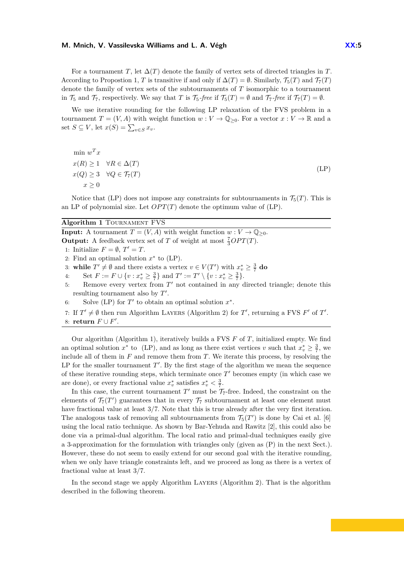#### **M. Mnich, V. Vassilevska Williams and L. A. Végh XX:5**

For a tournament *T*, let  $\Delta(T)$  denote the family of vertex sets of directed triangles in *T*. According to Propostion [1,](#page-3-1) *T* is transitive if and only if  $\Delta(T) = \emptyset$ . Similarly,  $\mathcal{T}_5(T)$  and  $\mathcal{T}_7(T)$ denote the family of vertex sets of the subtournaments of *T* isomorphic to a tournament in  $\mathcal{T}_5$  and  $\mathcal{T}_7$ , respectively. We say that *T* is  $\mathcal{T}_5$ *-free* if  $\mathcal{T}_5(T) = \emptyset$  and  $\mathcal{T}_7$ *-free* if  $\mathcal{T}_7(T) = \emptyset$ .

We use iterative rounding for the following LP relaxation of the FVS problem in a tournament  $T = (V, A)$  with weight function  $w: V \to \mathbb{Q}_{\geq 0}$ . For a vector  $x: V \to \mathbb{R}$  and a set  $S \subseteq V$ , let  $x(S) = \sum_{v \in S} x_v$ .

<span id="page-4-0"></span>
$$
\min_{x(R) \ge 1} w^T x
$$
  
\n
$$
x(R) \ge 1 \quad \forall R \in \Delta(T)
$$
  
\n
$$
x(Q) \ge 3 \quad \forall Q \in \mathcal{T}_7(T)
$$
  
\n
$$
x \ge 0
$$
\n(LP)

Notice that [\(LP\)](#page-4-0) does not impose any constraints for subtournaments in  $\mathcal{T}_5(T)$ . This is an LP of polynomial size. Let  $OPT(T)$  denote the optimum value of  $(LP)$ .

<span id="page-4-1"></span>**Algorithm 1** Tournament FVS

**Input:** A tournament  $T = (V, A)$  with weight function  $w : V \to \mathbb{Q}_{\geq 0}$ . **Output:** A feedback vertex set of *T* of weight at most  $\frac{7}{3}OPT(T)$ . 1: Initialize  $F = \emptyset$ ,  $T' = T$ . 2: Find an optimal solution  $x^*$  to  $(LP)$ . 3: **while**  $T' \neq \emptyset$  and there exists a vertex  $v \in V(T')$  with  $x_v^* \geq \frac{3}{7}$  do 4: Set  $F := F \cup \{v : x_v^* \ge \frac{3}{7}\}$  and  $T' := T' \setminus \{v : x_v^* \ge \frac{3}{7}\}.$ 5: Remove every vertex from  $T'$  not contained in any directed triangle; denote this resulting tournament also by  $T'$ . 6: Solve [\(LP\)](#page-4-0) for  $T'$  to obtain an optimal solution  $x^*$ . 7: If  $T' \neq \emptyset$  then run Algorithm LAYERS (Algorithm [2\)](#page-8-0) for *T'*, returning a FVS *F'* of *T'*. 8: **return**  $F \cup F'$ .

Our algorithm (Algorithm [1\)](#page-4-1), iteratively builds a FVS *F* of *T*, initialized empty. We find an optimal solution  $x^*$  to [\(LP\)](#page-4-0), and as long as there exist vertices *v* such that  $x_v^* \geq \frac{3}{7}$ , we include all of them in *F* and remove them from *T*. We iterate this process, by resolving the LP for the smaller tournament  $T'$ . By the first stage of the algorithm we mean the sequence of these iterative rounding steps, which terminate once  $T'$  becomes empty (in which case we are done), or every fractional value  $x_v^*$  satisfies  $x_v^* < \frac{3}{7}$ .

In this case, the current tournament  $T'$  must be  $\mathcal{T}_7$ -free. Indeed, the constraint on the elements of  $\mathcal{T}_7(T')$  guarantees that in every  $\mathcal{T}_7$  subtournament at least one element must have fractional value at least 3*/*7. Note that this is true already after the very first iteration. The analogous task of removing all subtournaments from  $\mathcal{T}_5(T')$  is done by Cai et al. [\[6\]](#page-12-9) using the local ratio technique. As shown by Bar-Yehuda and Rawitz [\[2\]](#page-12-7), this could also be done via a primal-dual algorithm. The local ratio and primal-dual techniques easily give a 3-approximation for the formulation with triangles only (given as [\(P\)](#page-5-2) in the next Sect.). However, these do not seem to easily extend for our second goal with the iterative rounding, when we only have triangle constraints left, and we proceed as long as there is a vertex of fractional value at least 3*/*7.

In the second stage we apply Algorithm LAYERS (Algorithm [2\)](#page-8-0). That is the algorithm described in the following theorem.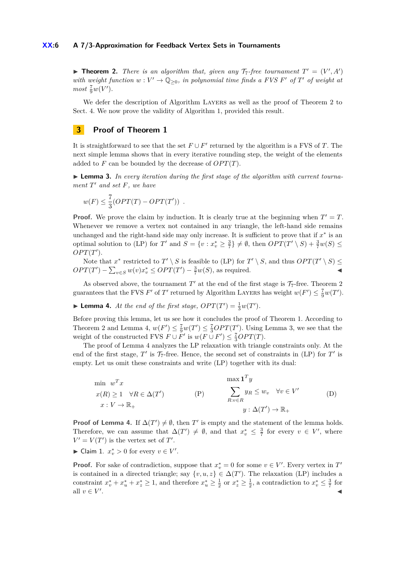### **XX:6 A 7/3-Approximation for Feedback Vertex Sets in Tournaments**

<span id="page-5-1"></span>**Theorem 2.** *There is an algorithm that, given any*  $\mathcal{T}_7$ -free tournament  $T' = (V', A')$ *with weight function*  $w: V' \to \mathbb{Q}_{\geq 0}$ , in polynomial time finds a FVS F' of T' of weight at  $most \frac{7}{9}w(V')$ *.* 

We defer the description of Algorithm LAYERS as well as the proof of Theorem [2](#page-5-1) to Sect. [4.](#page-6-0) We now prove the validity of Algorithm [1,](#page-4-1) provided this result.

# **3 Proof of Theorem [1](#page-1-0)**

It is straightforward to see that the set  $F \cup F'$  returned by the algorithm is a FVS of *T*. The next simple lemma shows that in every iterative rounding step, the weight of the elements added to  $F$  can be bounded by the decrease of  $OPT(T)$ .

<span id="page-5-3"></span>▶ **Lemma 3.** *In every iteration during the first stage of the algorithm with current tournament*  $T'$  *and set*  $F$ *, we have* 

$$
w(F) \leq \frac{7}{3}(OPT(T) - OPT(T')) .
$$

**Proof.** We prove the claim by induction. It is clearly true at the beginning when  $T' = T$ . Whenever we remove a vertex not contained in any triangle, the left-hand side remains unchanged and the right-hand side may only increase. It is sufficient to prove that if  $x^*$  is an optimal solution to [\(LP\)](#page-4-0) for *T'* and  $S = \{v : x_v^* \ge \frac{3}{7}\} \ne \emptyset$ , then  $OPT(T' \setminus S) + \frac{3}{7}w(S) \le$  $OPT(T')$ .

Note that  $x^*$  restricted to  $T' \setminus S$  is feasible to [\(LP\)](#page-4-0) for  $T' \setminus S$ , and thus  $OPT(T' \setminus S) \leq$  $OPT(T') - \sum_{v \in S} w(v)x_v^* \le OPT(T') - \frac{3}{7}w(S)$ , as required.

As observed above, the tournament  $T'$  at the end of the first stage is  $\mathcal{T}_7$ -free. Theorem [2](#page-5-1) guarantees that the FVS *F*' of *T*' returned by Algorithm LAYERS has weight  $w(F') \leq \frac{7}{9}w(T')$ .

<span id="page-5-0"></span>**Example 4.** At the end of the first stage,  $OPT(T') = \frac{1}{3}w(T')$ .

Before proving this lemma, let us see how it concludes the proof of Theorem [1.](#page-1-0) According to Theorem [2](#page-5-1) and Lemma [4,](#page-5-0)  $w(F') \leq \frac{7}{9}w(T') \leq \frac{7}{3}OPT(T')$ . Using Lemma [3,](#page-5-3) we see that the weight of the constructed FVS  $F \cup F'$  is  $w(F \cup F') \leq \frac{7}{3}OPT(T)$ .

The proof of Lemma [4](#page-5-0) analyzes the LP relaxation with triangle constraints only. At the end of the first stage,  $T'$  is  $\mathcal{T}_7$ -free. Hence, the second set of constraints in [\(LP\)](#page-4-0) for  $T'$  is empty. Let us omit these constraints and write [\(LP\)](#page-4-0) together with its dual:

<span id="page-5-4"></span><span id="page-5-2"></span>
$$
\min_{w} w^{T} x
$$
\n
$$
x(R) \ge 1 \quad \forall R \in \Delta(T')
$$
\n
$$
x: V \to \mathbb{R}_{+}
$$
\n
$$
\text{(P)} \qquad \sum_{R: v \in R} y_{R} \le w_{v} \quad \forall v \in V'
$$
\n
$$
y: \Delta(T') \to \mathbb{R}_{+}
$$
\n
$$
(D)
$$

**Proof of Lemma [4.](#page-5-0)** If  $\Delta(T') \neq \emptyset$ , then *T*' is empty and the statement of the lemma holds. Therefore, we can assume that  $\Delta(T') \neq \emptyset$ , and that  $x_v^* \leq \frac{3}{7}$  for every  $v \in V'$ , where  $V' = V(T')$  is the vertex set of *T*'.

► Claim 1.  $x_v^* > 0$  for every  $v \in V'$ .

**Proof.** For sake of contradiction, suppose that  $x_v^* = 0$  for some  $v \in V'$ . Every vertex in  $T'$ is contained in a directed triangle; say  $\{v, u, z\} \in \Delta(T')$ . The relaxation [\(LP\)](#page-4-0) includes a constraint  $x_v^* + x_u^* + x_z^* \ge 1$ , and therefore  $x_u^* \ge \frac{1}{2}$  or  $x_z^* \ge \frac{1}{2}$ , a contradiction to  $x_v^* \le \frac{3}{7}$  for all  $v \in V'$ . J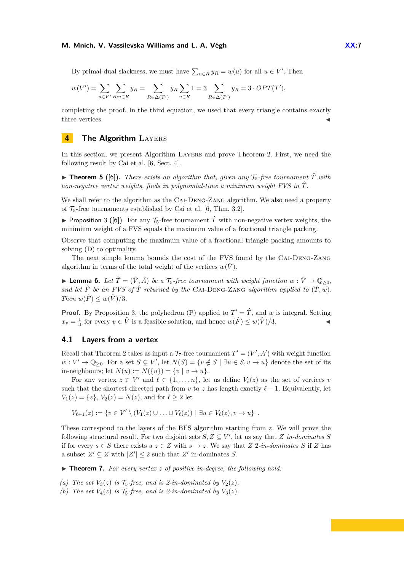#### **M. Mnich, V. Vassilevska Williams and L. A. Végh XX:7**

By primal-dual slackness, we must have  $\sum_{u \in R} y_R = w(u)$  for all  $u \in V'$ . Then

$$
w(V') = \sum_{u \in V'} \sum_{R: u \in R} y_R = \sum_{R \in \Delta(T')} y_R \sum_{u \in R} 1 = 3 \sum_{R \in \Delta(T')} y_R = 3 \cdot OPT(T'),
$$

completing the proof. In the third equation, we used that every triangle contains exactly three vertices.

# <span id="page-6-0"></span>**4 The Algorithm** LAYERS

In this section, we present Algorithm Layers and prove Theorem [2.](#page-5-1) First, we need the following result by Cai et al. [\[6,](#page-12-9) Sect. 4].

**If Theorem 5** ([\[6\]](#page-12-9)). There exists an algorithm that, given any  $\mathcal{T}_5$ -free tournament  $\hat{T}$  with *non-negative vertex weights, finds in polynomial-time a minimum weight FVS in T*ˆ*.*

We shall refer to the algorithm as the CAI-DENG-ZANG algorithm. We also need a property of  $\mathcal{T}_5$ -free tournaments established by Cai et al. [\[6,](#page-12-9) Thm. 3.2].

<span id="page-6-1"></span>**Proposition 3 ([\[6\]](#page-12-9)).** For any  $\mathcal{T}_5$ -free tournament  $\hat{T}$  with non-negative vertex weights, the minimium weight of a FVS equals the maximum value of a fractional triangle packing.

Observe that computing the maximum value of a fractional triangle packing amounts to solving [\(D\)](#page-5-4) to optimality.

The next simple lemma bounds the cost of the FVS found by the Cai-Deng-Zang algorithm in terms of the total weight of the vertices  $w(\hat{V})$ .

<span id="page-6-3"></span>▶ **Lemma 6.** *Let*  $\hat{T} = (\hat{V}, \hat{A})$  *be a*  $\mathcal{T}_5$ -free tournament with weight function  $w : \hat{V} \to \mathbb{Q}_{\geq 0}$ , and let  $\hat{F}$  be an FVS of  $\hat{T}$  returned by the CAI-DENG-ZANG algorithm applied to  $(\hat{T}, w)$ . *Then*  $w(\hat{F}) \leq w(\hat{V})/3$ *.* 

**Proof.** By Proposition [3,](#page-6-1) the polyhedron [\(P\)](#page-5-2) applied to  $T' = \hat{T}$ , and *w* is integral. Setting  $x_v = \frac{1}{3}$  for every  $v \in \hat{V}$  is a feasible solution, and hence  $w(\hat{F}) \leq w(\hat{V})/3$ .

## **4.1 Layers from a vertex**

Recall that Theorem [2](#page-5-1) takes as input a  $\mathcal{T}_7$ -free tournament  $T' = (V', A')$  with weight function  $w: V' \to \mathbb{Q}_{\geq 0}$ . For a set  $S \subseteq V'$ , let  $N(S) = \{v \notin S \mid \exists u \in S, v \to u\}$  denote the set of its in-neighbours; let  $N(u) := N({u}) = {v \mid v \to u}.$ 

For any vertex  $z \in V'$  and  $\ell \in \{1, \ldots, n\}$ , let us define  $V_{\ell}(z)$  as the set of vertices *v* such that the shortest directed path from *v* to *z* has length exactly  $\ell - 1$ . Equivalently, let  $V_1(z) = \{z\}, V_2(z) = N(z)$ , and for  $\ell \geq 2$  let

 $V_{\ell+1}(z) := \{ v \in V' \setminus (V_1(z) \cup \ldots \cup V_{\ell}(z)) \mid \exists u \in V_{\ell}(z), v \to u \}$ .

These correspond to the layers of the BFS algorithm starting from *z*. We will prove the following structural result. For two disjoint sets  $S, Z \subseteq V'$ , let us say that *Z in-dominates S* if for every  $s \in S$  there exists a  $z \in Z$  with  $s \to z$ . We say that  $Z$  2*-in-dominates*  $S$  if  $Z$  has a subset  $Z' \subseteq Z$  with  $|Z'| \leq 2$  such that  $Z'$  in-dominates *S*.

<span id="page-6-2"></span>▶ **Theorem 7.** For every vertex *z* of positive in-degree, the following hold:

(a) The set  $V_3(z)$  is  $\mathcal{T}_5$ -free, and is 2-in-dominated by  $V_2(z)$ .

*(b) The set*  $V_4(z)$  *is*  $\mathcal{T}_5$ -free, and *is* 2-in-dominated by  $V_3(z)$ .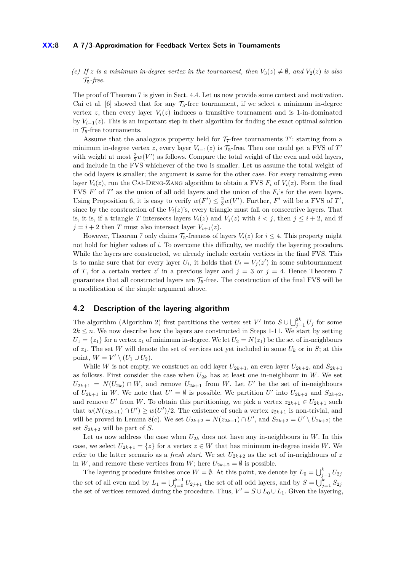## **XX:8 A 7/3-Approximation for Feedback Vertex Sets in Tournaments**

*(c)* If *z* is a minimum in-degree vertex in the tournament, then  $V_3(z) \neq \emptyset$ , and  $V_2(z)$  is also T5*-free.*

The proof of Theorem [7](#page-6-2) is given in Sect. [4.4.](#page-9-0) Let us now provide some context and motivation. Cai et al. [\[6\]](#page-12-9) showed that for any  $\mathcal{T}_5$ -free tournament, if we select a minimum in-degree vertex *z*, then every layer  $V_i(z)$  induces a transitive tournament and is 1-in-dominated by  $V_{i-1}(z)$ . This is an important step in their algorithm for finding the exact optimal solution in  $\mathcal{T}_5$ -free tournaments.

Assume that the analogous property held for  $\mathcal{T}_7$ -free tournaments  $T'$ : starting from a minimum in-degree vertex *z*, every layer  $V_{i-1}(z)$  is  $\mathcal{T}_5$ -free. Then one could get a FVS of  $T'$ with weight at most  $\frac{2}{3}w(V')$  as follows. Compare the total weight of the even and odd layers, and include in the FVS whichever of the two is smaller. Let us assume the total weight of the odd layers is smaller; the argument is same for the other case. For every remaining even layer  $V_i(z)$ , run the CAI-DENG-ZANG algorithm to obtain a FVS  $F_i$  of  $V_i(z)$ . Form the final FVS  $F'$  of  $T'$  as the union of all odd layers and the union of the  $F_i$ 's for the even layers. Using Proposition [6,](#page-6-3) it is easy to verify  $w(F') \leq \frac{2}{3}w(V')$ . Further, *F'* will be a FVS of *T'*, since by the construction of the  $V_i(z)$ 's, every triangle must fall on consecutive layers. That is, it is, if a triangle *T* intersects layers  $V_i(z)$  and  $V_j(z)$  with  $i < j$ , then  $j \leq i + 2$ , and if  $j = i + 2$  then *T* must also intersect layer  $V_{i+1}(z)$ .

However, Theorem [7](#page-6-2) only claims  $\mathcal{T}_5$ -freeness of layers  $V_i(z)$  for  $i \leq 4$ . This property might not hold for higher values of *i*. To overcome this difficulty, we modify the layering procedure. While the layers are constructed, we already include certain vertices in the final FVS. This is to make sure that for every layer  $U_i$ , it holds that  $U_i = V_j(z')$  in some subtournament of *T*, for a certain vertex  $z'$  in a previous layer and  $j = 3$  or  $j = 4$ . Hence Theorem [7](#page-6-2) guarantees that all constructed layers are  $\mathcal{T}_5$ -free. The construction of the final FVS will be a modification of the simple argument above.

# **4.2 Description of the layering algorithm**

The algorithm (Algorithm [2\)](#page-8-0) first partitions the vertex set *V*' into  $S \cup \bigcup_{j=1}^{2k} U_j$  for some  $2k \leq n$ . We now describe how the layers are constructed in Steps 1-11. We start by setting  $U_1 = \{z_1\}$  for a vertex  $z_1$  of minimum in-degree. We let  $U_2 = N(z_1)$  be the set of in-neighbours of  $z_1$ . The set *W* will denote the set of vertices not yet included in some  $U_k$  or in *S*; at this point,  $W = V' \setminus (U_1 \cup U_2)$ .

While *W* is not empty, we construct an odd layer  $U_{2k+1}$ , an even layer  $U_{2k+2}$ , and  $S_{2k+1}$ as follows. First consider the case when  $U_{2k}$  has at least one in-neighbour in *W*. We set  $U_{2k+1} = N(U_{2k}) \cap W$ , and remove  $U_{2k+1}$  from *W*. Let *U*<sup>'</sup> be the set of in-neighbours of  $U_{2k+1}$  in W. We note that  $U' = \emptyset$  is possible. We partition  $U'$  into  $U_{2k+2}$  and  $S_{2k+2}$ , and remove *U*<sup> $\prime$ </sup> from *W*. To obtain this partitioning, we pick a vertex  $z_{2k+1} \in U_{2k+1}$  such that  $w(N(z_{2k+1}) \cap U') \geq w(U')/2$ . The existence of such a vertex  $z_{2k+1}$  is non-trivial, and will be proved in Lemma [8\(](#page-8-1)c). We set  $U_{2k+2} = N(z_{2k+1}) \cap U'$ , and  $S_{2k+2} = U' \setminus U_{2k+2}$ ; the set  $S_{2k+2}$  will be part of *S*.

Let us now address the case when  $U_{2k}$  does not have any in-neighbours in *W*. In this case, we select  $U_{2k+1} = \{z\}$  for a vertex  $z \in W$  that has minimum in-degree inside *W*. We refer to the latter scenario as a *fresh start*. We set  $U_{2k+2}$  as the set of in-neighbours of z in *W*, and remove these vertices from *W*; here  $U_{2k+2} = \emptyset$  is possible.

The layering procedure finishes once  $W = \emptyset$ . At this point, we denote by  $L_0 = \bigcup_{j=1}^k U_{2j}$ the set of all even and by  $L_1 = \bigcup_{j=0}^{k-1} U_{2j+1}$  the set of all odd layers, and by  $S = \bigcup_{j=1}^{k} S_{2j}$ the set of vertices removed during the procedure. Thus,  $V' = S \cup L_0 \cup L_1$ . Given the layering,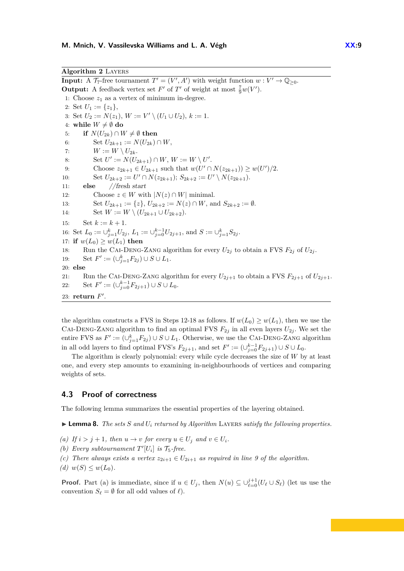<span id="page-8-0"></span>**Input:** A  $\mathcal{T}_7$ -free tournament  $T' = (V', A')$  with weight function  $w: V' \to \mathbb{Q}_{\geq 0}$ . **Output:** A feedback vertex set  $F'$  of  $T'$  of weight at most  $\frac{7}{9}w(V')$ . 1: Choose  $z_1$  as a vertex of minimum in-degree. 2: Set  $U_1 := \{z_1\},\$ 3: Set  $U_2 := N(z_1), W := V' \setminus (U_1 \cup U_2), k := 1.$ 4: while  $W \neq \emptyset$  do 5: **if**  $N(U_{2k}) \cap W \neq \emptyset$  then 6: Set  $U_{2k+1} := N(U_{2k}) \cap W$ , 7:  $W := W \setminus U_{2k}.$ 8: Set  $U' := N(U_{2k+1}) \cap W$ ,  $W := W \setminus U'$ . 9: Choose  $z_{2k+1} \in U_{2k+1}$  such that  $w(U' \cap N(z_{2k+1})) \geq w(U')/2$ . 10: Set  $U_{2k+2} := U' \cap N(z_{2k+1});$   $S_{2k+2} := U' \setminus N(z_{2k+1}).$ 11: **else** //fresh start 12: Choose  $z \in W$  with  $|N(z) \cap W|$  minimal. 13: Set  $U_{2k+1} := \{z\}, U_{2k+2} := N(z) \cap W$ , and  $S_{2k+2} := \emptyset$ . 14: Set  $W := W \setminus (U_{2k+1} \cup U_{2k+2}).$ 15: Set  $k := k + 1$ . 16: Set  $L_0 := \bigcup_{j=1}^k U_{2j}$ ,  $L_1 := \bigcup_{j=0}^{k-1} U_{2j+1}$ , and  $S := \bigcup_{j=1}^k S_{2j}$ . 17: **if**  $w(L_0) \geq w(L_1)$  **then** 18: Run the CAI-DENG-ZANG algorithm for every  $U_{2j}$  to obtain a FVS  $F_{2j}$  of  $U_{2j}$ . 19: Set  $F' := (\cup_{j=1}^k F_{2j}) \cup S \cup L_1$ . 20: **else** 21: Run the CAI-DENG-ZANG algorithm for every  $U_{2j+1}$  to obtain a FVS  $F_{2j+1}$  of  $U_{2j+1}$ . 22: Set  $F' := (\bigcup_{j=0}^{k-1} F_{2j+1}) \cup S \cup L_0$ . 23: **return**  $F'$ .

the algorithm constructs a FVS in Steps 12-18 as follows. If  $w(L_0) \geq w(L_1)$ , then we use the CAI-DENG-ZANG algorithm to find an optimal FVS  $F_{2j}$  in all even layers  $U_{2j}$ . We set the entire FVS as  $F' := (\cup_{j=1}^k F_{2j}) \cup S \cup L_1$ . Otherwise, we use the CAI-DENG-ZANG algorithm in all odd layers to find optimal FVS's  $F_{2j+1}$ , and set  $F' := (\cup_{j=0}^{k-1} F_{2j+1}) \cup S \cup L_0$ .

The algorithm is clearly polynomial: every while cycle decreases the size of *W* by at least one, and every step amounts to examining in-neighbourhoods of vertices and comparing weights of sets.

## **4.3 Proof of correctness**

The following lemma summarizes the essential properties of the layering obtained.

<span id="page-8-1"></span> $\blacktriangleright$  **Lemma 8.** *The sets S* and  $U_i$  returned by Algorithm LAYERS *satisfy the following properties.* 

- *(a) If*  $i > j + 1$ *, then*  $u \to v$  *for every*  $u \in U_j$  *and*  $v \in U_i$ *.*
- *(b) Every subtournament*  $T'[U_i]$  *is*  $\mathcal{T}_5$ -free.
- *(c) There always exists a vertex*  $z_{2i+1} \in U_{2i+1}$  *as required in line 9 of the algorithm.*
- $(d)$   $w(S) \leq w(L_0)$ .

**Proof.** Part (a) is immediate, since if  $u \in U_j$ , then  $N(u) \subseteq \bigcup_{\ell=0}^{j+1} (U_\ell \cup S_\ell)$  (let us use the convention  $S_\ell = \emptyset$  for all odd values of  $\ell$ .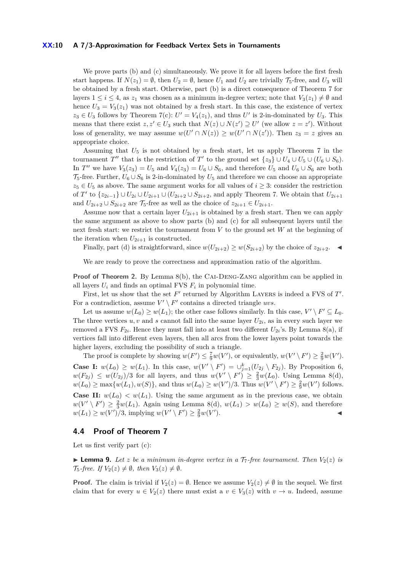## **XX:10 A 7/3-Approximation for Feedback Vertex Sets in Tournaments**

We prove parts (b) and (c) simultaneously. We prove it for all layers before the first fresh start happens. If  $N(z_1) = \emptyset$ , then  $U_2 = \emptyset$ , hence  $U_1$  and  $U_2$  are trivially  $\mathcal{T}_5$ -free, and  $U_3$  will be obtained by a fresh start. Otherwise, part (b) is a direct consequence of Theorem [7](#page-6-2) for layers  $1 \leq i \leq 4$ , as  $z_1$  was chosen as a minimum in-degree vertex; note that  $V_3(z_1) \neq \emptyset$  and hence  $U_3 = V_3(z_1)$  was not obtained by a fresh start. In this case, the existence of vertex  $z_3 \in U_3$  follows by Theorem [7\(](#page-6-2)c):  $U' = V_4(z_1)$ , and thus  $U'$  is 2-in-dominated by  $U_3$ . This means that there exist  $z, z' \in U_3$  such that  $N(z) \cup N(z') \supseteq U'$  (we allow  $z = z'$ ). Without loss of generality, we may assume  $w(U' \cap N(z)) \geq w(U' \cap N(z'))$ . Then  $z_3 = z$  gives an appropriate choice.

Assuming that  $U_5$  is not obtained by a fresh start, let us apply Theorem [7](#page-6-2) in the tournament *T*<sup>*n*</sup> that is the restriction of *T'* to the ground set  $\{z_3\} \cup U_4 \cup U_5 \cup (U_6 \cup S_6)$ . In *T*<sup>*n*</sup> we have  $V_3(z_3) = U_5$  and  $V_4(z_3) = U_6 \cup S_6$ , and therefore  $U_5$  and  $U_6 \cup S_6$  are both  $\mathcal{T}_5$ -free. Further,  $U_6 \cup S_6$  is 2-in-dominated by  $U_5$  and therefore we can choose an appropriate  $z_5 \in U_5$  as above. The same argument works for all values of  $i \geq 3$ : consider the restriction of *T*<sup>'</sup> to  $\{z_{2i-1}\}\cup U_{2i}\cup U_{2i+1}\cup (U_{2i+2}\cup S_{2i+2}, \text{ and apply Theorem 7. We obtain that  $U_{2i+1}$$  $\{z_{2i-1}\}\cup U_{2i}\cup U_{2i+1}\cup (U_{2i+2}\cup S_{2i+2}, \text{ and apply Theorem 7. We obtain that  $U_{2i+1}$$  $\{z_{2i-1}\}\cup U_{2i}\cup U_{2i+1}\cup (U_{2i+2}\cup S_{2i+2}, \text{ and apply Theorem 7. We obtain that  $U_{2i+1}$$ and  $U_{2i+2} \cup S_{2i+2}$  are  $\mathcal{T}_5$ -free as well as the choice of  $z_{2i+1} \in U_{2i+1}$ .

Assume now that a certain layer  $U_{2i+1}$  is obtained by a fresh start. Then we can apply the same argument as above to show parts (b) and (c) for all subsequent layers until the next fresh start: we restrict the tournament from *V* to the ground set *W* at the beginning of the iteration when  $U_{2i+1}$  is constructed.

Finally, part (d) is straightforward, since  $w(U_{2i+2}) \geq w(S_{2i+2})$  by the choice of  $z_{2i+2}$ .

We are ready to prove the correctness and approximation ratio of the algorithm.

**Proof of Theorem [2.](#page-5-1)** By Lemma [8\(](#page-8-1)b), the CAI-DENG-ZANG algorithm can be applied in all layers  $U_i$  and finds an optimal FVS  $F_i$  in polynomial time.

First, let us show that the set  $F'$  returned by Algorithm LAYERS is indeed a FVS of  $T'$ . For a contradiction, assume  $V' \setminus F'$  contains a directed triangle *uvs*.

Let us assume  $w(L_0) \geq w(L_1)$ ; the other case follows similarly. In this case,  $V' \setminus F' \subseteq L_0$ . The three vertices  $u, v$  and  $s$  cannot fall into the same layer  $U_{2i}$ , as in every such layer we removed a FVS  $F_{2i}$ . Hence they must fall into at least two different  $U_{2i}$ 's. By Lemma [8\(](#page-8-1)a), if vertices fall into different even layers, then all arcs from the lower layers point towards the higher layers, excluding the possibility of such a triangle.

The proof is complete by showing  $w(F') \leq \frac{7}{9}w(V')$ , or equivalently,  $w(V' \setminus F') \geq \frac{2}{9}w(V')$ . **Case I:**  $w(L_0) \geq w(L_1)$ . In this case,  $w(V' \setminus F') = \bigcup_{j=1}^k (U_{2j} \setminus F_{2j})$ . By Proposition [6,](#page-6-3)  $w(F_{2j}) \leq w(U_{2j})/3$  for all layers, and thus  $w(V' \setminus F') \geq \frac{2}{3}w(L_0)$ . Using Lemma [8\(](#page-8-1)d),  $w(L_0) \ge \max\{w(L_1), w(S)\}$ , and thus  $w(L_0) \ge w(V')/3$ . Thus  $w(V' \setminus F') \ge \frac{2}{9}w(V')$  follows. **Case II:**  $w(L_0) < w(L_1)$ . Using the same argument as in the previous case, we obtain  $w(V' \setminus F') \geq \frac{2}{3}w(L_1)$ . Again using Lemma [8\(](#page-8-1)d),  $w(L_1) > w(L_0) \geq w(S)$ , and therefore  $w(L_1) \geq w(V')/3$ , implying  $w(V' \setminus F') \geq \frac{2}{9}w(V')$  $\blacksquare$ ).

## <span id="page-9-0"></span>**4.4 Proof of Theorem [7](#page-6-2)**

Let us first verify part (c):

**Example 9.** Let *z* be a minimum in-degree vertex in a  $T_7$ -free tournament. Then  $V_2(z)$  is  $\mathcal{T}_5$ -free. If  $V_2(z) \neq \emptyset$ , then  $V_3(z) \neq \emptyset$ .

**Proof.** The claim is trivial if  $V_2(z) = \emptyset$ . Hence we assume  $V_2(z) \neq \emptyset$  in the sequel. We first claim that for every  $u \in V_2(z)$  there must exist a  $v \in V_3(z)$  with  $v \to u$ . Indeed, assume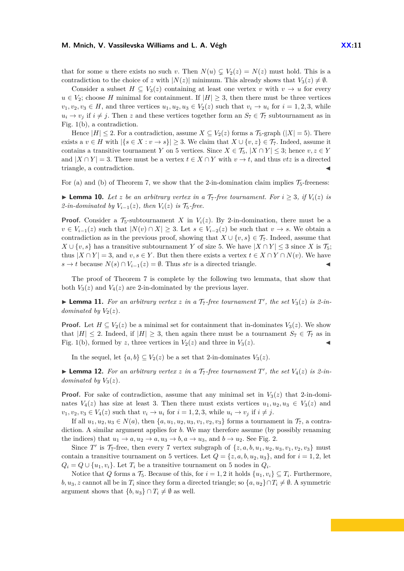#### **M. Mnich, V. Vassilevska Williams and L. A. Végh**  $XX:11$

that for some *u* there exists no such *v*. Then  $N(u) \subsetneq V_2(z) = N(z)$  must hold. This is a contradiction to the choice of *z* with  $|N(z)|$  minimum. This already shows that  $V_3(z) \neq \emptyset$ .

Consider a subset  $H \subseteq V_3(z)$  containing at least one vertex *v* with  $v \to u$  for every  $u \in V_2$ ; choose *H* minimal for containment. If  $|H| \geq 3$ , then there must be three vertices  $v_1, v_2, v_3 \in H$ , and three vertices  $u_1, u_2, u_3 \in V_2(z)$  such that  $v_i \to u_i$  for  $i = 1, 2, 3$ , while  $u_i \to v_j$  if  $i \neq j$ . Then *z* and these vertices together form an  $S_7 \in \mathcal{T}_7$  subtournament as in Fig. [1\(](#page-3-0)b), a contradiction.

Hence  $|H| \leq 2$ . For a contradiction, assume  $X \subseteq V_2(z)$  forms a  $\mathcal{T}_5$ -graph  $(|X| = 5)$ . There exists a *v* ∈ *H* with  $|\{s \in X : v \to s\}| \geq 3$ . We claim that  $X \cup \{v, z\} \in \mathcal{T}_7$ . Indeed, assume it contains a transitive tournament *Y* on 5 vertices. Since  $X \in \mathcal{T}_5$ ,  $|X \cap Y| \leq 3$ ; hence  $v, z \in Y$ and  $|X \cap Y| = 3$ . There must be a vertex  $t \in X \cap Y$  with  $v \to t$ , and thus *vtz* is a directed triangle, a contradiction.

For (a) and (b) of Theorem [7,](#page-6-2) we show that the 2-in-domination claim implies  $\mathcal{T}_5$ -freeness:

▶ **Lemma 10.** Let *z* be an arbitrary vertex in a  $\mathcal{T}_7$ -free tournament. For  $i \geq 3$ , if  $V_i(z)$  is *2-in-dominated by*  $V_{i-1}(z)$ *, then*  $V_i(z)$  *is*  $\mathcal{T}_5$ -free.

**Proof.** Consider a  $\mathcal{T}_5$ -subtournament *X* in  $V_i(z)$ . By 2-in-domination, there must be a *v* ∈ *V*<sub>*i*−1</sub>(*z*) such that  $|N(v) \cap X| \geq 3$ . Let *s* ∈ *V*<sub>*i*−2</sub>(*z*) be such that *v* → *s*. We obtain a contradiction as in the previous proof, showing that  $X \cup \{v, s\} \in \mathcal{T}_7$ . Indeed, assume that *X* ∪ {*v, s*} has a transitive subtournament *Y* of size 5. We have  $|X \cap Y|$  ≤ 3 since *X* is  $\mathcal{T}_5$ ; thus  $|X \cap Y| = 3$ , and  $v, s \in Y$ . But then there exists a vertex  $t \in X \cap Y \cap N(v)$ . We have *s* → *t* because  $N(s) \cap V_{i-1}(z) = ∅$ . Thus *stv* is a directed triangle.

The proof of Theorem [7](#page-6-2) is complete by the following two lemmata, that show that both  $V_3(z)$  and  $V_4(z)$  are 2-in-dominated by the previous layer.

**Example 11.** For an arbitrary vertex *z* in a  $\mathcal{T}_7$ -free tournament  $T'$ , the set  $V_3(z)$  is 2-in*dominated by*  $V_2(z)$ *.* 

**Proof.** Let  $H \subseteq V_2(z)$  be a minimal set for containment that in-dominates  $V_3(z)$ . We show that  $|H| \leq 2$ . Indeed, if  $|H| \geq 3$ , then again there must be a tournament  $S_7 \in \mathcal{T}_7$  as in Fig. [1\(](#page-3-0)b), formed by *z*, three vertices in  $V_2(z)$  and three in  $V_3(z)$ .

In the sequel, let  $\{a, b\} \subseteq V_2(z)$  be a set that 2-in-dominates  $V_3(z)$ .

<span id="page-10-0"></span>**Example 12.** For an arbitrary vertex *z* in a  $\mathcal{T}_7$ -free tournament  $T'$ , the set  $V_4(z)$  is 2-in*dominated by*  $V_3(z)$ .

**Proof.** For sake of contradiction, assume that any minimal set in  $V_3(z)$  that 2-in-dominates  $V_4(z)$  has size at least 3. Then there must exists vertices  $u_1, u_2, u_3 \in V_3(z)$  and  $v_1, v_2, v_3 \in V_4(z)$  such that  $v_i \to u_i$  for  $i = 1, 2, 3$ , while  $u_i \to v_j$  if  $i \neq j$ .

If all  $u_1, u_2, u_3 \in N(a)$ , then  $\{a, u_1, u_2, u_3, v_1, v_2, v_3\}$  forms a tournament in  $\mathcal{T}_7$ , a contradiction. A similar argument applies for *b*. We may therefore assume (by possibly renaming the indices) that  $u_1 \rightarrow a, u_2 \rightarrow a, u_3 \rightarrow b, a \rightarrow u_3$ , and  $b \rightarrow u_2$ . See Fig. [2.](#page-11-1)

Since *T*<sup>'</sup> is  $\mathcal{T}_7$ -free, then every 7 vertex subgraph of  $\{z, a, b, u_1, u_2, u_3, v_1, v_2, v_3\}$  must contain a transitive tournament on 5 vertices. Let  $Q = \{z, a, b, u_2, u_3\}$ , and for  $i = 1, 2$ , let  $Q_i = Q \cup \{u_1, v_i\}$ . Let  $T_i$  be a transitive tournament on 5 nodes in  $Q_i$ .

Notice that *Q* forms a  $\mathcal{T}_5$ . Because of this, for  $i = 1, 2$  it holds  $\{u_1, v_i\} \subseteq T_i$ . Furthermore, *b, u*<sub>3</sub>*, z* cannot all be in  $T_i$  since they form a directed triangle; so  $\{a, u_2\} \cap T_i \neq \emptyset$ . A symmetric argument shows that  $\{b, u_3\} \cap T_i \neq \emptyset$  as well.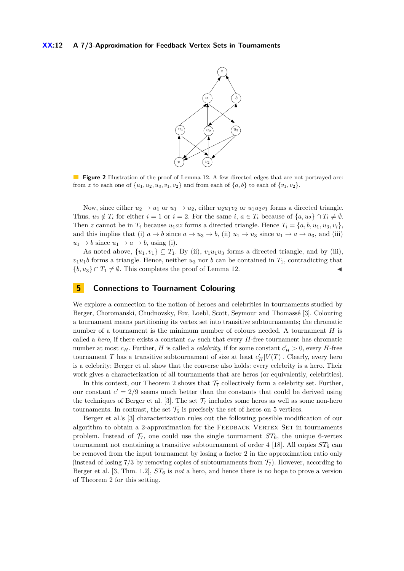## <span id="page-11-1"></span>**XX:12 A 7/3-Approximation for Feedback Vertex Sets in Tournaments**



**Figure 2** Illustration of the proof of Lemma [12.](#page-10-0) A few directed edges that are not portrayed are: from z to each one of  $\{u_1, u_2, u_3, v_1, v_2\}$  and from each of  $\{a, b\}$  to each of  $\{v_1, v_2\}$ .

Now, since either  $u_2 \to u_1$  or  $u_1 \to u_2$ , either  $u_2u_1v_2$  or  $u_1u_2v_1$  forms a directed triangle. Thus,  $u_2 \notin T_i$  for either  $i = 1$  or  $i = 2$ . For the same  $i, a \in T_i$  because of  $\{a, u_2\} \cap T_i \neq \emptyset$ . Then *z* cannot be in  $T_i$  because  $u_1az$  forms a directed triangle. Hence  $T_i = \{a, b, u_1, u_3, v_i\}$ , and this implies that (i)  $a \to b$  since  $a \to u_3 \to b$ , (ii)  $u_1 \to u_3$  since  $u_1 \to a \to u_3$ , and (iii)  $u_1 \rightarrow b$  since  $u_1 \rightarrow a \rightarrow b$ , using (i).

As noted above,  $\{u_1, v_1\} \subseteq T_1$ . By (ii),  $v_1u_1u_3$  forms a directed triangle, and by (iii),  $v_1u_1b$  forms a triangle. Hence, neither  $u_3$  nor *b* can be contained in  $T_1$ , contradicting that  $\{b, u_3\} \cap T_1 \neq \emptyset$ . This completes the proof of Lemma [12.](#page-10-0)

## <span id="page-11-0"></span>**5 Connections to Tournament Colouring**

We explore a connection to the notion of heroes and celebrities in tournaments studied by Berger, Choromanski, Chudnovsky, Fox, Loebl, Scott, Seymour and Thomassé [\[3\]](#page-12-10). Colouring a tournament means partitioning its vertex set into transitive subtournaments; the chromatic number of a tournament is the minimum number of colours needed. A tournament *H* is called a *hero*, if there exists a constant  $c_H$  such that every *H*-free tournament has chromatic number at most  $c_H$ . Further, *H* is called a *celebrity*, if for some constant  $c'_H > 0$ , every *H*-free tournament *T* has a transitive subtournament of size at least  $c_H'|V(T)|$ . Clearly, every hero is a celebrity; Berger et al. show that the converse also holds: every celebrity is a hero. Their work gives a characterization of all tournaments that are heros (or equivalently, celebrities).

In this context, our Theorem [2](#page-5-1) shows that  $\mathcal{T}_7$  collectively form a celebrity set. Further, our constant  $c' = 2/9$  seems much better than the constants that could be derived using the techniques of Berger et al. [\[3\]](#page-12-10). The set  $\mathcal{T}_7$  includes some heros as well as some non-hero tournaments. In contrast, the set  $\mathcal{T}_5$  is precisely the set of heros on 5 vertices.

Berger et al.'s [\[3\]](#page-12-10) characterization rules out the following possible modification of our algorithm to obtain a 2-approximation for the FEEDBACK VERTEX SET in tournaments problem. Instead of  $\mathcal{T}_7$ , one could use the single tournament  $ST_6$ , the unique 6-vertex tournament not containing a transitive subtournament of order 4 [\[18\]](#page-12-21). All copies  $ST_6$  can be removed from the input tournament by losing a factor 2 in the approximation ratio only (instead of losing  $7/3$  by removing copies of subtournaments from  $\mathcal{T}_7$ ). However, according to Berger et al. [\[3,](#page-12-10) Thm. 1.2], *ST*<sup>6</sup> is *not* a hero, and hence there is no hope to prove a version of Theorem [2](#page-5-1) for this setting.